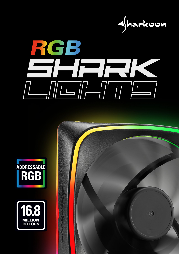







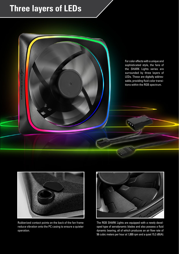## **Three layers of LEDs**





Rubberized contact points on the back of the fan frame reduce vibration onto the PC casing to ensure a quieter operation.



The RGB SHARK Lights are equipped with a newly developed type of aerodynamic blades and also possess a fluid dynamic bearing, all of which produces an air flow rate of 56 cubic meters per hour at 1,000 rpm and a quiet 15.2 dB(A).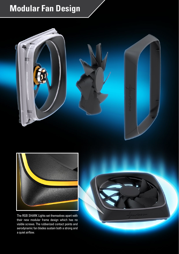# **Modular Fan Design**





The RGB SHARK Lights set themselves apart with their new modular frame design which has no visible screws. The rubberized contact points and aerodynamic fan blades sustain both a strong and a quiet airflow.

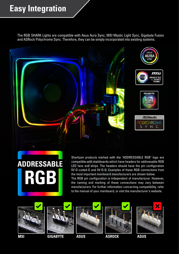## **Easy Integration**

The RGB SHARK Lights are compatible with Asus Aura Sync, MSI Mystic Light Sync, Gigabyte Fusion and ASRock Polychrome Sync. Therefore, they can be simply incorporated into existing systems.









Sharkoon products marked with the "ADDRESSABLE RGB" logo are compatible with mainboards which have headers for addressable RGB LED fans and strips. The headers should have the pin configuration 5V-D-coded-G and 5V-D-G. Examples of these RGB connections from the most important mainboard manufacturers are shown below. The RGB pin configuration is independent of manufacturer. However, the naming and marking of these connections may vary between manufacturers. For further information concerning compatibility, refer

to the manual of your mainboard, or visit the manufacturer's website.









**MSI GIGABYTE ASUS ASROCK ASUS**